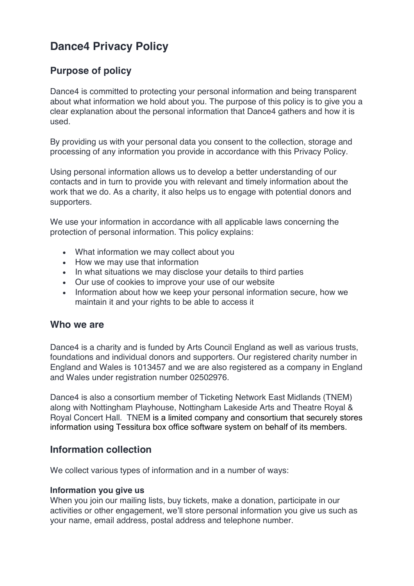# **Dance4 Privacy Policy**

# **Purpose of policy**

Dance4 is committed to protecting your personal information and being transparent about what information we hold about you. The purpose of this policy is to give you a clear explanation about the personal information that Dance4 gathers and how it is used.

By providing us with your personal data you consent to the collection, storage and processing of any information you provide in accordance with this Privacy Policy.

Using personal information allows us to develop a better understanding of our contacts and in turn to provide you with relevant and timely information about the work that we do. As a charity, it also helps us to engage with potential donors and supporters.

We use your information in accordance with all applicable laws concerning the protection of personal information. This policy explains:

- What information we may collect about you
- How we may use that information
- In what situations we may disclose your details to third parties
- Our use of cookies to improve your use of our website
- Information about how we keep your personal information secure, how we maintain it and your rights to be able to access it

#### **Who we are**

Dance4 is a charity and is funded by Arts Council England as well as various trusts, foundations and individual donors and supporters. Our registered charity number in England and Wales is 1013457 and we are also registered as a company in England and Wales under registration number 02502976.

Dance4 is also a consortium member of Ticketing Network East Midlands (TNEM) along with Nottingham Playhouse, Nottingham Lakeside Arts and Theatre Royal & Royal Concert Hall. TNEM is a limited company and consortium that securely stores information using Tessitura box office software system on behalf of its members.

## **Information collection**

We collect various types of information and in a number of ways:

#### **Information you give us**

When you join our mailing lists, buy tickets, make a donation, participate in our activities or other engagement, we'll store personal information you give us such as your name, email address, postal address and telephone number.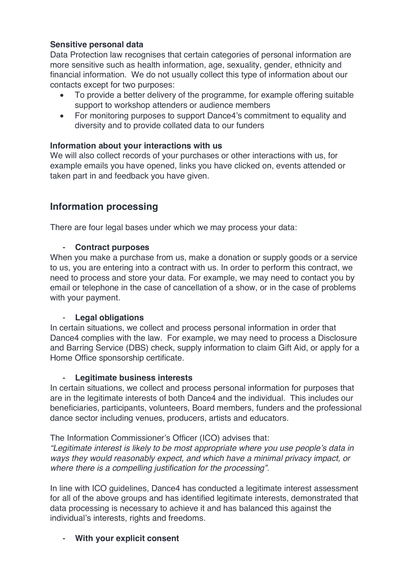#### **Sensitive personal data**

Data Protection law recognises that certain categories of personal information are more sensitive such as health information, age, sexuality, gender, ethnicity and financial information. We do not usually collect this type of information about our contacts except for two purposes:

- To provide a better delivery of the programme, for example offering suitable support to workshop attenders or audience members
- For monitoring purposes to support Dance4's commitment to equality and diversity and to provide collated data to our funders

#### **Information about your interactions with us**

We will also collect records of your purchases or other interactions with us, for example emails you have opened, links you have clicked on, events attended or taken part in and feedback you have given.

# **Information processing**

There are four legal bases under which we may process your data:

#### - **Contract purposes**

When you make a purchase from us, make a donation or supply goods or a service to us, you are entering into a contract with us. In order to perform this contract, we need to process and store your data. For example, we may need to contact you by email or telephone in the case of cancellation of a show, or in the case of problems with your payment.

#### - **Legal obligations**

In certain situations, we collect and process personal information in order that Dance4 complies with the law. For example, we may need to process a Disclosure and Barring Service (DBS) check, supply information to claim Gift Aid, or apply for a Home Office sponsorship certificate.

#### - **Legitimate business interests**

In certain situations, we collect and process personal information for purposes that are in the legitimate interests of both Dance4 and the individual. This includes our beneficiaries, participants, volunteers, Board members, funders and the professional dance sector including venues, producers, artists and educators.

The Information Commissioner's Officer (ICO) advises that:

*"Legitimate interest is likely to be most appropriate where you use people's data in ways they would reasonably expect, and which have a minimal privacy impact, or where there is a compelling justification for the processing".*

In line with ICO guidelines, Dance4 has conducted a legitimate interest assessment for all of the above groups and has identified legitimate interests, demonstrated that data processing is necessary to achieve it and has balanced this against the individual's interests, rights and freedoms.

#### - **With your explicit consent**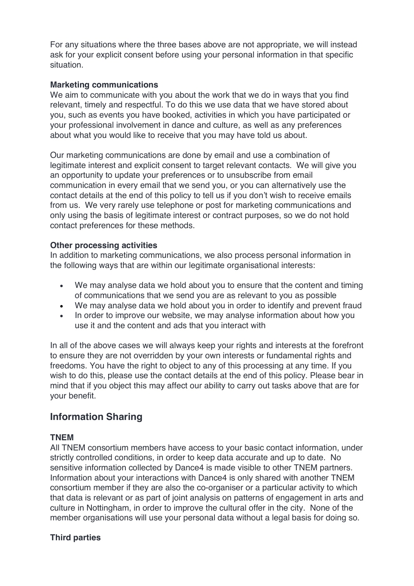For any situations where the three bases above are not appropriate, we will instead ask for your explicit consent before using your personal information in that specific situation.

#### **Marketing communications**

We aim to communicate with you about the work that we do in ways that you find relevant, timely and respectful. To do this we use data that we have stored about you, such as events you have booked, activities in which you have participated or your professional involvement in dance and culture, as well as any preferences about what you would like to receive that you may have told us about.

Our marketing communications are done by email and use a combination of legitimate interest and explicit consent to target relevant contacts. We will give you an opportunity to update your preferences or to unsubscribe from email communication in every email that we send you, or you can alternatively use the contact details at the end of this policy to tell us if you don't wish to receive emails from us. We very rarely use telephone or post for marketing communications and only using the basis of legitimate interest or contract purposes, so we do not hold contact preferences for these methods.

#### **Other processing activities**

In addition to marketing communications, we also process personal information in the following ways that are within our legitimate organisational interests:

- We may analyse data we hold about you to ensure that the content and timing of communications that we send you are as relevant to you as possible
- We may analyse data we hold about you in order to identify and prevent fraud
- In order to improve our website, we may analyse information about how you use it and the content and ads that you interact with

In all of the above cases we will always keep your rights and interests at the forefront to ensure they are not overridden by your own interests or fundamental rights and freedoms. You have the right to object to any of this processing at any time. If you wish to do this, please use the contact details at the end of this policy. Please bear in mind that if you object this may affect our ability to carry out tasks above that are for your benefit.

## **Information Sharing**

#### **TNEM**

All TNEM consortium members have access to your basic contact information, under strictly controlled conditions, in order to keep data accurate and up to date. No sensitive information collected by Dance4 is made visible to other TNEM partners. Information about your interactions with Dance4 is only shared with another TNEM consortium member if they are also the co-organiser or a particular activity to which that data is relevant or as part of joint analysis on patterns of engagement in arts and culture in Nottingham, in order to improve the cultural offer in the city. None of the member organisations will use your personal data without a legal basis for doing so.

#### **Third parties**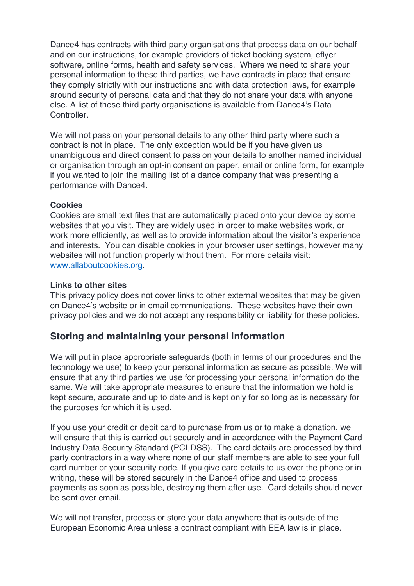Dance4 has contracts with third party organisations that process data on our behalf and on our instructions, for example providers of ticket booking system, eflyer software, online forms, health and safety services. Where we need to share your personal information to these third parties, we have contracts in place that ensure they comply strictly with our instructions and with data protection laws, for example around security of personal data and that they do not share your data with anyone else. A list of these third party organisations is available from Dance4's Data Controller.

We will not pass on your personal details to any other third party where such a contract is not in place. The only exception would be if you have given us unambiguous and direct consent to pass on your details to another named individual or organisation through an opt-in consent on paper, email or online form, for example if you wanted to join the mailing list of a dance company that was presenting a performance with Dance4.

#### **Cookies**

Cookies are small text files that are automatically placed onto your device by some websites that you visit. They are widely used in order to make websites work, or work more efficiently, as well as to provide information about the visitor's experience and interests. You can disable cookies in your browser user settings, however many websites will not function properly without them. For more details visit: www.allaboutcookies.org.

#### **Links to other sites**

This privacy policy does not cover links to other external websites that may be given on Dance4's website or in email communications. These websites have their own privacy policies and we do not accept any responsibility or liability for these policies.

## **Storing and maintaining your personal information**

We will put in place appropriate safeguards (both in terms of our procedures and the technology we use) to keep your personal information as secure as possible. We will ensure that any third parties we use for processing your personal information do the same. We will take appropriate measures to ensure that the information we hold is kept secure, accurate and up to date and is kept only for so long as is necessary for the purposes for which it is used.

If you use your credit or debit card to purchase from us or to make a donation, we will ensure that this is carried out securely and in accordance with the Payment Card Industry Data Security Standard (PCI-DSS). The card details are processed by third party contractors in a way where none of our staff members are able to see your full card number or your security code. If you give card details to us over the phone or in writing, these will be stored securely in the Dance4 office and used to process payments as soon as possible, destroying them after use. Card details should never be sent over email.

We will not transfer, process or store your data anywhere that is outside of the European Economic Area unless a contract compliant with EEA law is in place.